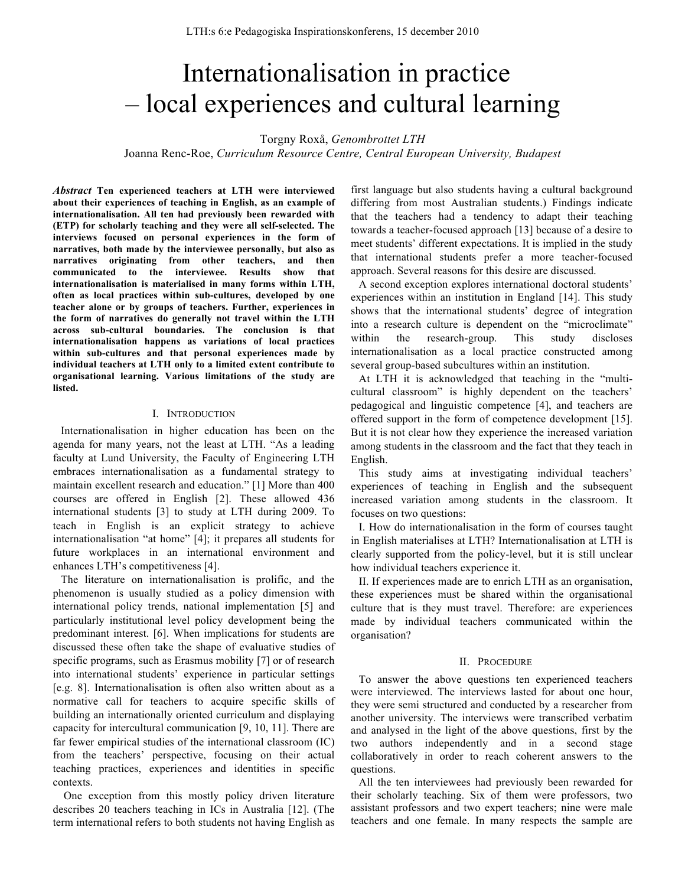# Internationalisation in practice – local experiences and cultural learning

Torgny Roxå, *Genombrottet LTH*

Joanna Renc-Roe, *Curriculum Resource Centre, Central European University, Budapest*

*Abstract* **Ten experienced teachers at LTH were interviewed about their experiences of teaching in English, as an example of internationalisation. All ten had previously been rewarded with (ETP) for scholarly teaching and they were all self-selected. The interviews focused on personal experiences in the form of narratives, both made by the interviewee personally, but also as narratives originating from other teachers, and then communicated to the interviewee. Results show that internationalisation is materialised in many forms within LTH, often as local practices within sub-cultures, developed by one teacher alone or by groups of teachers. Further, experiences in the form of narratives do generally not travel within the LTH across sub-cultural boundaries. The conclusion is that internationalisation happens as variations of local practices within sub-cultures and that personal experiences made by individual teachers at LTH only to a limited extent contribute to organisational learning. Various limitations of the study are listed.**

#### I. INTRODUCTION

Internationalisation in higher education has been on the agenda for many years, not the least at LTH. "As a leading faculty at Lund University, the Faculty of Engineering LTH embraces internationalisation as a fundamental strategy to maintain excellent research and education." [1] More than 400 courses are offered in English [2]. These allowed 436 international students [3] to study at LTH during 2009. To teach in English is an explicit strategy to achieve internationalisation "at home" [4]; it prepares all students for future workplaces in an international environment and enhances LTH's competitiveness [4].

The literature on internationalisation is prolific, and the phenomenon is usually studied as a policy dimension with international policy trends, national implementation [5] and particularly institutional level policy development being the predominant interest. [6]. When implications for students are discussed these often take the shape of evaluative studies of specific programs, such as Erasmus mobility [7] or of research into international students' experience in particular settings [e.g. 8]. Internationalisation is often also written about as a normative call for teachers to acquire specific skills of building an internationally oriented curriculum and displaying capacity for intercultural communication [9, 10, 11]. There are far fewer empirical studies of the international classroom (IC) from the teachers' perspective, focusing on their actual teaching practices, experiences and identities in specific contexts.

One exception from this mostly policy driven literature describes 20 teachers teaching in ICs in Australia [12]. (The term international refers to both students not having English as first language but also students having a cultural background differing from most Australian students.) Findings indicate that the teachers had a tendency to adapt their teaching towards a teacher-focused approach [13] because of a desire to meet students' different expectations. It is implied in the study that international students prefer a more teacher-focused approach. Several reasons for this desire are discussed.

A second exception explores international doctoral students' experiences within an institution in England [14]. This study shows that the international students' degree of integration into a research culture is dependent on the "microclimate" within the research-group. This study discloses internationalisation as a local practice constructed among several group-based subcultures within an institution.

At LTH it is acknowledged that teaching in the "multicultural classroom" is highly dependent on the teachers' pedagogical and linguistic competence [4], and teachers are offered support in the form of competence development [15]. But it is not clear how they experience the increased variation among students in the classroom and the fact that they teach in English.

This study aims at investigating individual teachers' experiences of teaching in English and the subsequent increased variation among students in the classroom. It focuses on two questions:

I. How do internationalisation in the form of courses taught in English materialises at LTH? Internationalisation at LTH is clearly supported from the policy-level, but it is still unclear how individual teachers experience it.

II. If experiences made are to enrich LTH as an organisation, these experiences must be shared within the organisational culture that is they must travel. Therefore: are experiences made by individual teachers communicated within the organisation?

#### II. PROCEDURE

To answer the above questions ten experienced teachers were interviewed. The interviews lasted for about one hour, they were semi structured and conducted by a researcher from another university. The interviews were transcribed verbatim and analysed in the light of the above questions, first by the two authors independently and in a second stage collaboratively in order to reach coherent answers to the questions.

All the ten interviewees had previously been rewarded for their scholarly teaching. Six of them were professors, two assistant professors and two expert teachers; nine were male teachers and one female. In many respects the sample are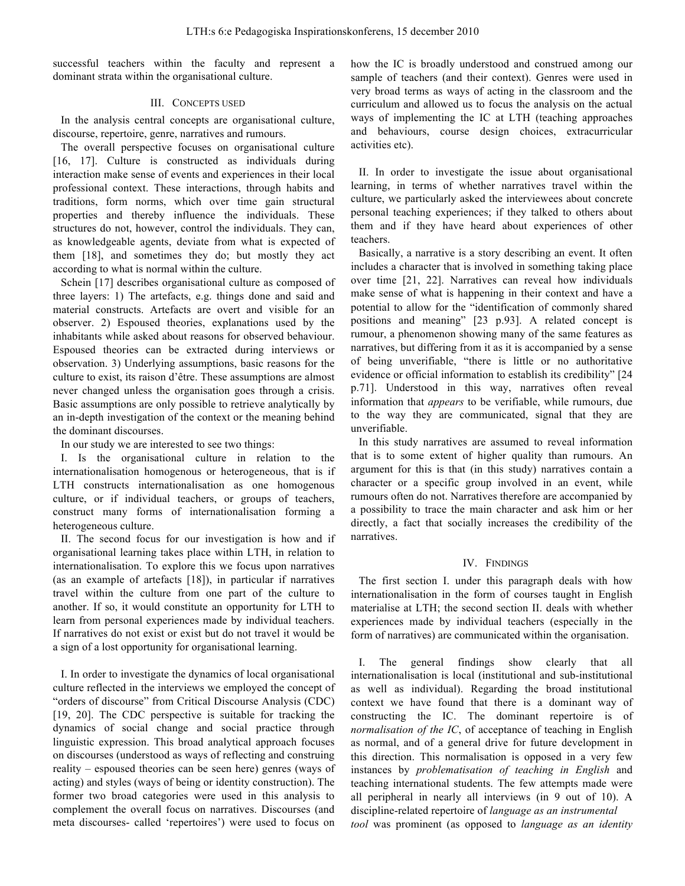successful teachers within the faculty and represent a dominant strata within the organisational culture.

## III. CONCEPTS USED

In the analysis central concepts are organisational culture, discourse, repertoire, genre, narratives and rumours.

The overall perspective focuses on organisational culture [16, 17]. Culture is constructed as individuals during interaction make sense of events and experiences in their local professional context. These interactions, through habits and traditions, form norms, which over time gain structural properties and thereby influence the individuals. These structures do not, however, control the individuals. They can, as knowledgeable agents, deviate from what is expected of them [18], and sometimes they do; but mostly they act according to what is normal within the culture.

Schein [17] describes organisational culture as composed of three layers: 1) The artefacts, e.g. things done and said and material constructs. Artefacts are overt and visible for an observer. 2) Espoused theories, explanations used by the inhabitants while asked about reasons for observed behaviour. Espoused theories can be extracted during interviews or observation. 3) Underlying assumptions, basic reasons for the culture to exist, its raison d'être. These assumptions are almost never changed unless the organisation goes through a crisis. Basic assumptions are only possible to retrieve analytically by an in-depth investigation of the context or the meaning behind the dominant discourses.

In our study we are interested to see two things:

I. Is the organisational culture in relation to the internationalisation homogenous or heterogeneous, that is if LTH constructs internationalisation as one homogenous culture, or if individual teachers, or groups of teachers, construct many forms of internationalisation forming a heterogeneous culture.

II. The second focus for our investigation is how and if organisational learning takes place within LTH, in relation to internationalisation. To explore this we focus upon narratives (as an example of artefacts [18]), in particular if narratives travel within the culture from one part of the culture to another. If so, it would constitute an opportunity for LTH to learn from personal experiences made by individual teachers. If narratives do not exist or exist but do not travel it would be a sign of a lost opportunity for organisational learning.

I. In order to investigate the dynamics of local organisational culture reflected in the interviews we employed the concept of "orders of discourse" from Critical Discourse Analysis (CDC) [19, 20]. The CDC perspective is suitable for tracking the dynamics of social change and social practice through linguistic expression. This broad analytical approach focuses on discourses (understood as ways of reflecting and construing reality – espoused theories can be seen here) genres (ways of acting) and styles (ways of being or identity construction). The former two broad categories were used in this analysis to complement the overall focus on narratives. Discourses (and meta discourses- called 'repertoires') were used to focus on how the IC is broadly understood and construed among our sample of teachers (and their context). Genres were used in very broad terms as ways of acting in the classroom and the curriculum and allowed us to focus the analysis on the actual ways of implementing the IC at LTH (teaching approaches and behaviours, course design choices, extracurricular activities etc).

II. In order to investigate the issue about organisational learning, in terms of whether narratives travel within the culture, we particularly asked the interviewees about concrete personal teaching experiences; if they talked to others about them and if they have heard about experiences of other teachers.

Basically, a narrative is a story describing an event. It often includes a character that is involved in something taking place over time [21, 22]. Narratives can reveal how individuals make sense of what is happening in their context and have a potential to allow for the "identification of commonly shared positions and meaning" [23 p.93]. A related concept is rumour, a phenomenon showing many of the same features as narratives, but differing from it as it is accompanied by a sense of being unverifiable, "there is little or no authoritative evidence or official information to establish its credibility" [24 p.71]. Understood in this way, narratives often reveal information that *appears* to be verifiable, while rumours, due to the way they are communicated, signal that they are unverifiable.

In this study narratives are assumed to reveal information that is to some extent of higher quality than rumours. An argument for this is that (in this study) narratives contain a character or a specific group involved in an event, while rumours often do not. Narratives therefore are accompanied by a possibility to trace the main character and ask him or her directly, a fact that socially increases the credibility of the narratives.

# IV. FINDINGS

The first section I. under this paragraph deals with how internationalisation in the form of courses taught in English materialise at LTH; the second section II. deals with whether experiences made by individual teachers (especially in the form of narratives) are communicated within the organisation.

I. The general findings show clearly that all internationalisation is local (institutional and sub-institutional as well as individual). Regarding the broad institutional context we have found that there is a dominant way of constructing the IC. The dominant repertoire is of *normalisation of the IC*, of acceptance of teaching in English as normal, and of a general drive for future development in this direction. This normalisation is opposed in a very few instances by *problematisation of teaching in English* and teaching international students. The few attempts made were all peripheral in nearly all interviews (in 9 out of 10). A discipline-related repertoire of *language as an instrumental tool* was prominent (as opposed to *language as an identity*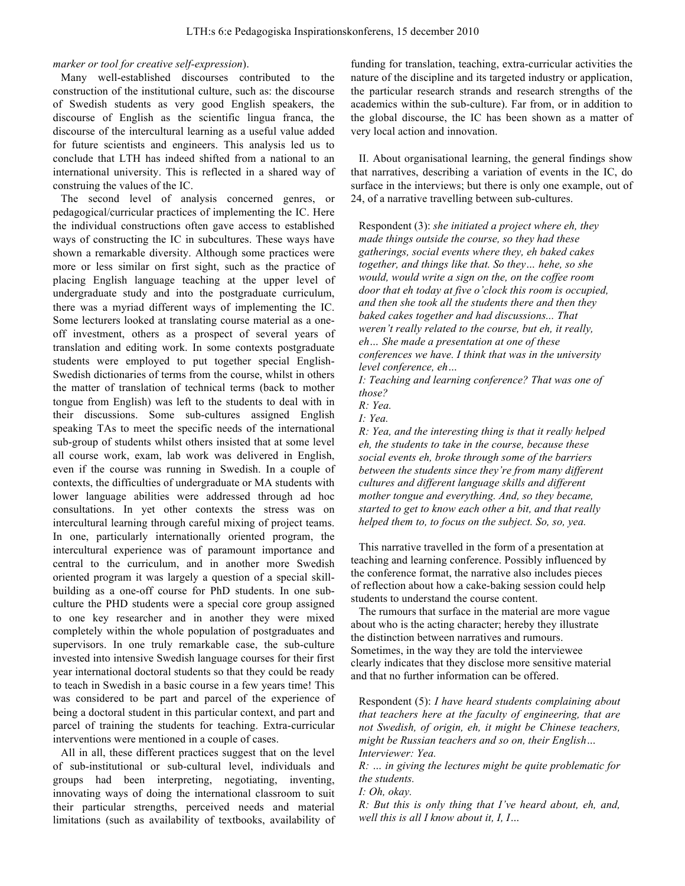# *marker or tool for creative self-expression*).

Many well-established discourses contributed to the construction of the institutional culture, such as: the discourse of Swedish students as very good English speakers, the discourse of English as the scientific lingua franca, the discourse of the intercultural learning as a useful value added for future scientists and engineers. This analysis led us to conclude that LTH has indeed shifted from a national to an international university. This is reflected in a shared way of construing the values of the IC.

The second level of analysis concerned genres, or pedagogical/curricular practices of implementing the IC. Here the individual constructions often gave access to established ways of constructing the IC in subcultures. These ways have shown a remarkable diversity. Although some practices were more or less similar on first sight, such as the practice of placing English language teaching at the upper level of undergraduate study and into the postgraduate curriculum, there was a myriad different ways of implementing the IC. Some lecturers looked at translating course material as a oneoff investment, others as a prospect of several years of translation and editing work. In some contexts postgraduate students were employed to put together special English-Swedish dictionaries of terms from the course, whilst in others the matter of translation of technical terms (back to mother tongue from English) was left to the students to deal with in their discussions. Some sub-cultures assigned English speaking TAs to meet the specific needs of the international sub-group of students whilst others insisted that at some level all course work, exam, lab work was delivered in English, even if the course was running in Swedish. In a couple of contexts, the difficulties of undergraduate or MA students with lower language abilities were addressed through ad hoc consultations. In yet other contexts the stress was on intercultural learning through careful mixing of project teams. In one, particularly internationally oriented program, the intercultural experience was of paramount importance and central to the curriculum, and in another more Swedish oriented program it was largely a question of a special skillbuilding as a one-off course for PhD students. In one subculture the PHD students were a special core group assigned to one key researcher and in another they were mixed completely within the whole population of postgraduates and supervisors. In one truly remarkable case, the sub-culture invested into intensive Swedish language courses for their first year international doctoral students so that they could be ready to teach in Swedish in a basic course in a few years time! This was considered to be part and parcel of the experience of being a doctoral student in this particular context, and part and parcel of training the students for teaching. Extra-curricular interventions were mentioned in a couple of cases.

All in all, these different practices suggest that on the level of sub-institutional or sub-cultural level, individuals and groups had been interpreting, negotiating, inventing, innovating ways of doing the international classroom to suit their particular strengths, perceived needs and material limitations (such as availability of textbooks, availability of

funding for translation, teaching, extra-curricular activities the nature of the discipline and its targeted industry or application, the particular research strands and research strengths of the academics within the sub-culture). Far from, or in addition to the global discourse, the IC has been shown as a matter of very local action and innovation.

II. About organisational learning, the general findings show that narratives, describing a variation of events in the IC, do surface in the interviews; but there is only one example, out of 24, of a narrative travelling between sub-cultures.

Respondent (3): *she initiated a project where eh, they made things outside the course, so they had these gatherings, social events where they, eh baked cakes together, and things like that. So they… hehe, so she would, would write a sign on the, on the coffee room door that eh today at five o'clock this room is occupied, and then she took all the students there and then they baked cakes together and had discussions... That weren't really related to the course, but eh, it really, eh… She made a presentation at one of these conferences we have. I think that was in the university level conference, eh…*

*I: Teaching and learning conference? That was one of those?*

*R: Yea.*

*I: Yea.*

*R: Yea, and the interesting thing is that it really helped eh, the students to take in the course, because these social events eh, broke through some of the barriers between the students since they're from many different cultures and different language skills and different mother tongue and everything. And, so they became, started to get to know each other a bit, and that really helped them to, to focus on the subject. So, so, yea.* 

This narrative travelled in the form of a presentation at teaching and learning conference. Possibly influenced by the conference format, the narrative also includes pieces of reflection about how a cake-baking session could help students to understand the course content.

The rumours that surface in the material are more vague about who is the acting character; hereby they illustrate the distinction between narratives and rumours. Sometimes, in the way they are told the interviewee clearly indicates that they disclose more sensitive material and that no further information can be offered.

Respondent (5): *I have heard students complaining about that teachers here at the faculty of engineering, that are not Swedish, of origin, eh, it might be Chinese teachers, might be Russian teachers and so on, their English… Interviewer: Yea.*

*R: … in giving the lectures might be quite problematic for the students.*

*I: Oh, okay.*

*R: But this is only thing that I've heard about, eh, and, well this is all I know about it, I, I…*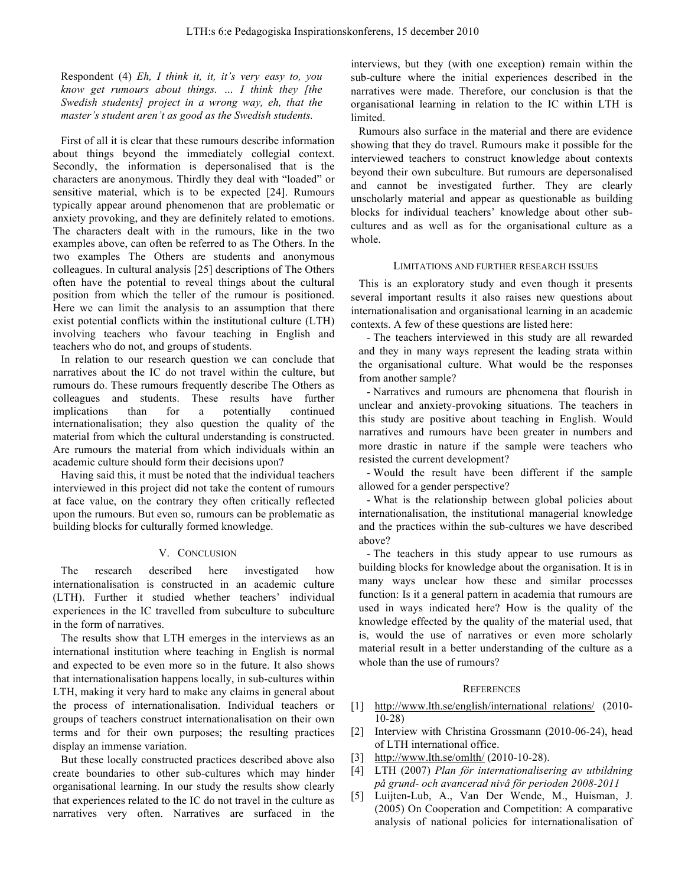Respondent (4) *Eh, I think it, it, it's very easy to, you know get rumours about things. … I think they [the Swedish students] project in a wrong way, eh, that the master's student aren't as good as the Swedish students.* 

First of all it is clear that these rumours describe information about things beyond the immediately collegial context. Secondly, the information is depersonalised that is the characters are anonymous. Thirdly they deal with "loaded" or sensitive material, which is to be expected [24]. Rumours typically appear around phenomenon that are problematic or anxiety provoking, and they are definitely related to emotions. The characters dealt with in the rumours, like in the two examples above, can often be referred to as The Others. In the two examples The Others are students and anonymous colleagues. In cultural analysis [25] descriptions of The Others often have the potential to reveal things about the cultural position from which the teller of the rumour is positioned. Here we can limit the analysis to an assumption that there exist potential conflicts within the institutional culture (LTH) involving teachers who favour teaching in English and teachers who do not, and groups of students.

In relation to our research question we can conclude that narratives about the IC do not travel within the culture, but rumours do. These rumours frequently describe The Others as colleagues and students. These results have further implications than for a potentially continued internationalisation; they also question the quality of the material from which the cultural understanding is constructed. Are rumours the material from which individuals within an academic culture should form their decisions upon?

Having said this, it must be noted that the individual teachers interviewed in this project did not take the content of rumours at face value, on the contrary they often critically reflected upon the rumours. But even so, rumours can be problematic as building blocks for culturally formed knowledge.

# V. CONCLUSION

The research described here investigated how internationalisation is constructed in an academic culture (LTH). Further it studied whether teachers' individual experiences in the IC travelled from subculture to subculture in the form of narratives.

The results show that LTH emerges in the interviews as an international institution where teaching in English is normal and expected to be even more so in the future. It also shows that internationalisation happens locally, in sub-cultures within LTH, making it very hard to make any claims in general about the process of internationalisation. Individual teachers or groups of teachers construct internationalisation on their own terms and for their own purposes; the resulting practices display an immense variation.

But these locally constructed practices described above also create boundaries to other sub-cultures which may hinder organisational learning. In our study the results show clearly that experiences related to the IC do not travel in the culture as narratives very often. Narratives are surfaced in the interviews, but they (with one exception) remain within the sub-culture where the initial experiences described in the narratives were made. Therefore, our conclusion is that the organisational learning in relation to the IC within LTH is limited.

Rumours also surface in the material and there are evidence showing that they do travel. Rumours make it possible for the interviewed teachers to construct knowledge about contexts beyond their own subculture. But rumours are depersonalised and cannot be investigated further. They are clearly unscholarly material and appear as questionable as building blocks for individual teachers' knowledge about other subcultures and as well as for the organisational culture as a whole.

#### LIMITATIONS AND FURTHER RESEARCH ISSUES

This is an exploratory study and even though it presents several important results it also raises new questions about internationalisation and organisational learning in an academic contexts. A few of these questions are listed here:

- The teachers interviewed in this study are all rewarded and they in many ways represent the leading strata within the organisational culture. What would be the responses from another sample?

- Narratives and rumours are phenomena that flourish in unclear and anxiety-provoking situations. The teachers in this study are positive about teaching in English. Would narratives and rumours have been greater in numbers and more drastic in nature if the sample were teachers who resisted the current development?

- Would the result have been different if the sample allowed for a gender perspective?

- What is the relationship between global policies about internationalisation, the institutional managerial knowledge and the practices within the sub-cultures we have described above?

- The teachers in this study appear to use rumours as building blocks for knowledge about the organisation. It is in many ways unclear how these and similar processes function: Is it a general pattern in academia that rumours are used in ways indicated here? How is the quality of the knowledge effected by the quality of the material used, that is, would the use of narratives or even more scholarly material result in a better understanding of the culture as a whole than the use of rumours?

### **REFERENCES**

- [1] http://www.lth.se/english/international relations/ (2010-10-28)
- [2] Interview with Christina Grossmann (2010-06-24), head of LTH international office.
- [3] http://www.lth.se/omlth/ (2010-10-28).
- [4] LTH (2007) *Plan för internationalisering av utbildning på grund- och avancerad nivå för perioden 2008-2011*
- [5] Luijten-Lub, A., Van Der Wende, M., Huisman, J. (2005) On Cooperation and Competition: A comparative analysis of national policies for internationalisation of